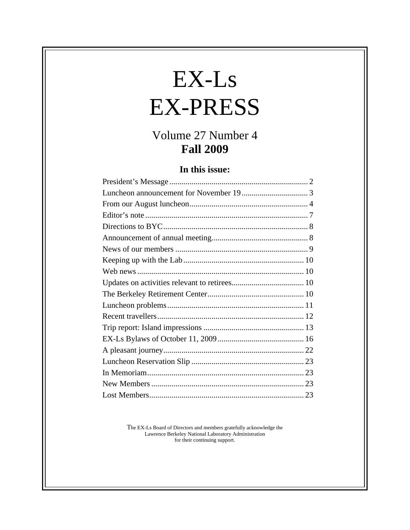# $EX-Ls$ EX-PRESS

## Volume 27 Number 4 **Fall 2009**

#### **In this issue:**

The EX-Ls Board of Directors and members gratefully acknowledge the Lawrence Berkeley National Laboratory Administration for their continuing support.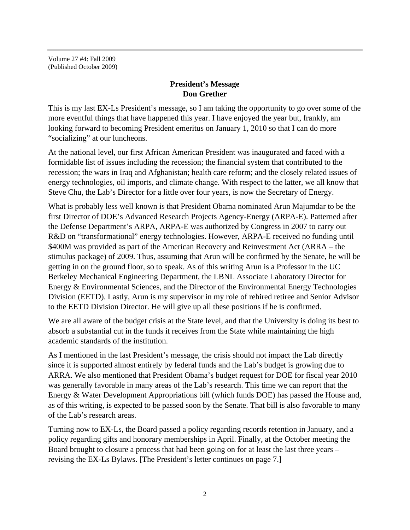Volume 27 #4: Fall 2009 (Published October 2009)

#### **President's Message Don Grether**

This is my last EX-Ls President's message, so I am taking the opportunity to go over some of the more eventful things that have happened this year. I have enjoyed the year but, frankly, am looking forward to becoming President emeritus on January 1, 2010 so that I can do more "socializing" at our luncheons.

At the national level, our first African American President was inaugurated and faced with a formidable list of issues including the recession; the financial system that contributed to the recession; the wars in Iraq and Afghanistan; health care reform; and the closely related issues of energy technologies, oil imports, and climate change. With respect to the latter, we all know that Steve Chu, the Lab's Director for a little over four years, is now the Secretary of Energy.

What is probably less well known is that President Obama nominated Arun Majumdar to be the first Director of DOE's Advanced Research Projects Agency-Energy (ARPA-E). Patterned after the Defense Department's ARPA, ARPA-E was authorized by Congress in 2007 to carry out R&D on "transformational" energy technologies. However, ARPA-E received no funding until \$400M was provided as part of the American Recovery and Reinvestment Act (ARRA – the stimulus package) of 2009. Thus, assuming that Arun will be confirmed by the Senate, he will be getting in on the ground floor, so to speak. As of this writing Arun is a Professor in the UC Berkeley Mechanical Engineering Department, the LBNL Associate Laboratory Director for Energy & Environmental Sciences, and the Director of the Environmental Energy Technologies Division (EETD). Lastly, Arun is my supervisor in my role of rehired retiree and Senior Advisor to the EETD Division Director. He will give up all these positions if he is confirmed.

We are all aware of the budget crisis at the State level, and that the University is doing its best to absorb a substantial cut in the funds it receives from the State while maintaining the high academic standards of the institution.

As I mentioned in the last President's message, the crisis should not impact the Lab directly since it is supported almost entirely by federal funds and the Lab's budget is growing due to ARRA. We also mentioned that President Obama's budget request for DOE for fiscal year 2010 was generally favorable in many areas of the Lab's research. This time we can report that the Energy & Water Development Appropriations bill (which funds DOE) has passed the House and, as of this writing, is expected to be passed soon by the Senate. That bill is also favorable to many of the Lab's research areas.

Turning now to EX-Ls, the Board passed a policy regarding records retention in January, and a policy regarding gifts and honorary memberships in April. Finally, at the October meeting the Board brought to closure a process that had been going on for at least the last three years – revising the EX-Ls Bylaws. [The President's letter continues on page 7.]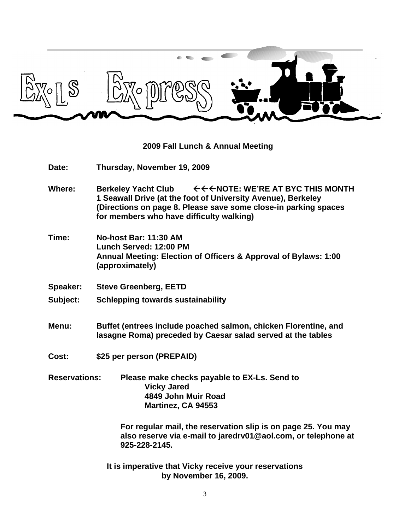

#### **2009 Fall Lunch & Annual Meeting**

- **Date: Thursday, November 19, 2009**
- Where: Berkeley Yacht Club <del><<<</del>NOTE: WE'RE AT BYC THIS MONTH **1 Seawall Drive (at the foot of University Avenue), Berkeley (Directions on page 8. Please save some close-in parking spaces for members who have difficulty walking)**
- **Time: No-host Bar: 11:30 AM Lunch Served: 12:00 PM Annual Meeting: Election of Officers & Approval of Bylaws: 1:00 (approximately)**
- **Speaker: Steve Greenberg, EETD**
- **Subject: Schlepping towards sustainability**
- **Menu: Buffet (entrees include poached salmon, chicken Florentine, and lasagne Roma) preceded by Caesar salad served at the tables**
- **Cost: \$25 per person (PREPAID)**
- **Reservations: Please make checks payable to EX-Ls. Send to Vicky Jared 4849 John Muir Road Martinez, CA 94553**

**For regular mail, the reservation slip is on page 25. You may also reserve via e-mail to jaredrv01@aol.com, or telephone at 925-228-2145.**

**It is imperative that Vicky receive your reservations by November 16, 2009.**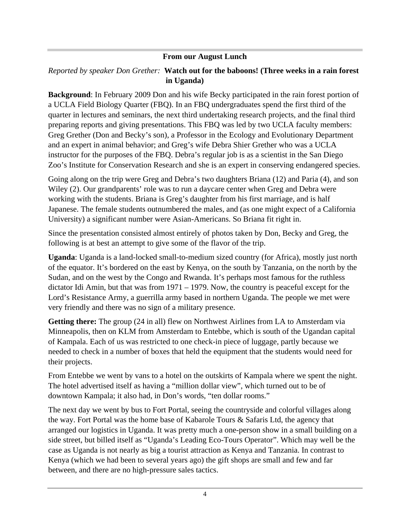#### **From our August Lunch**

#### *Reported by speaker Don Grether:* **Watch out for the baboons! (Three weeks in a rain forest in Uganda)**

**Background**: In February 2009 Don and his wife Becky participated in the rain forest portion of a UCLA Field Biology Quarter (FBQ). In an FBQ undergraduates spend the first third of the quarter in lectures and seminars, the next third undertaking research projects, and the final third preparing reports and giving presentations. This FBQ was led by two UCLA faculty members: Greg Grether (Don and Becky's son), a Professor in the Ecology and Evolutionary Department and an expert in animal behavior; and Greg's wife Debra Shier Grether who was a UCLA instructor for the purposes of the FBQ. Debra's regular job is as a scientist in the San Diego Zoo's Institute for Conservation Research and she is an expert in conserving endangered species.

Going along on the trip were Greg and Debra's two daughters Briana (12) and Paria (4), and son Wiley (2). Our grandparents' role was to run a daycare center when Greg and Debra were working with the students. Briana is Greg's daughter from his first marriage, and is half Japanese. The female students outnumbered the males, and (as one might expect of a California University) a significant number were Asian-Americans. So Briana fit right in.

Since the presentation consisted almost entirely of photos taken by Don, Becky and Greg, the following is at best an attempt to give some of the flavor of the trip.

**Uganda**: Uganda is a land-locked small-to-medium sized country (for Africa), mostly just north of the equator. It's bordered on the east by Kenya, on the south by Tanzania, on the north by the Sudan, and on the west by the Congo and Rwanda. It's perhaps most famous for the ruthless dictator Idi Amin, but that was from 1971 – 1979. Now, the country is peaceful except for the Lord's Resistance Army, a guerrilla army based in northern Uganda. The people we met were very friendly and there was no sign of a military presence.

**Getting there:** The group (24 in all) flew on Northwest Airlines from LA to Amsterdam via Minneapolis, then on KLM from Amsterdam to Entebbe, which is south of the Ugandan capital of Kampala. Each of us was restricted to one check-in piece of luggage, partly because we needed to check in a number of boxes that held the equipment that the students would need for their projects.

From Entebbe we went by vans to a hotel on the outskirts of Kampala where we spent the night. The hotel advertised itself as having a "million dollar view", which turned out to be of downtown Kampala; it also had, in Don's words, "ten dollar rooms."

The next day we went by bus to Fort Portal, seeing the countryside and colorful villages along the way. Fort Portal was the home base of Kabarole Tours & Safaris Ltd, the agency that arranged our logistics in Uganda. It was pretty much a one-person show in a small building on a side street, but billed itself as "Uganda's Leading Eco-Tours Operator". Which may well be the case as Uganda is not nearly as big a tourist attraction as Kenya and Tanzania. In contrast to Kenya (which we had been to several years ago) the gift shops are small and few and far between, and there are no high-pressure sales tactics.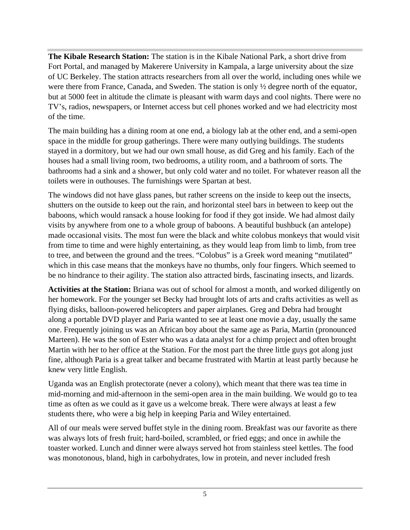**The Kibale Research Station:** The station is in the Kibale National Park, a short drive from Fort Portal, and managed by Makerere University in Kampala, a large university about the size of UC Berkeley. The station attracts researchers from all over the world, including ones while we were there from France, Canada, and Sweden. The station is only  $\frac{1}{2}$  degree north of the equator, but at 5000 feet in altitude the climate is pleasant with warm days and cool nights. There were no TV's, radios, newspapers, or Internet access but cell phones worked and we had electricity most of the time.

The main building has a dining room at one end, a biology lab at the other end, and a semi-open space in the middle for group gatherings. There were many outlying buildings. The students stayed in a dormitory, but we had our own small house, as did Greg and his family. Each of the houses had a small living room, two bedrooms, a utility room, and a bathroom of sorts. The bathrooms had a sink and a shower, but only cold water and no toilet. For whatever reason all the toilets were in outhouses. The furnishings were Spartan at best.

The windows did not have glass panes, but rather screens on the inside to keep out the insects, shutters on the outside to keep out the rain, and horizontal steel bars in between to keep out the baboons, which would ransack a house looking for food if they got inside. We had almost daily visits by anywhere from one to a whole group of baboons. A beautiful bushbuck (an antelope) made occasional visits. The most fun were the black and white colobus monkeys that would visit from time to time and were highly entertaining, as they would leap from limb to limb, from tree to tree, and between the ground and the trees. "Colobus" is a Greek word meaning "mutilated" which in this case means that the monkeys have no thumbs, only four fingers. Which seemed to be no hindrance to their agility. The station also attracted birds, fascinating insects, and lizards.

**Activities at the Station:** Briana was out of school for almost a month, and worked diligently on her homework. For the younger set Becky had brought lots of arts and crafts activities as well as flying disks, balloon-powered helicopters and paper airplanes. Greg and Debra had brought along a portable DVD player and Paria wanted to see at least one movie a day, usually the same one. Frequently joining us was an African boy about the same age as Paria, Martin (pronounced Marteen). He was the son of Ester who was a data analyst for a chimp project and often brought Martin with her to her office at the Station. For the most part the three little guys got along just fine, although Paria is a great talker and became frustrated with Martin at least partly because he knew very little English.

Uganda was an English protectorate (never a colony), which meant that there was tea time in mid-morning and mid-afternoon in the semi-open area in the main building. We would go to tea time as often as we could as it gave us a welcome break. There were always at least a few students there, who were a big help in keeping Paria and Wiley entertained.

All of our meals were served buffet style in the dining room. Breakfast was our favorite as there was always lots of fresh fruit; hard-boiled, scrambled, or fried eggs; and once in awhile the toaster worked. Lunch and dinner were always served hot from stainless steel kettles. The food was monotonous, bland, high in carbohydrates, low in protein, and never included fresh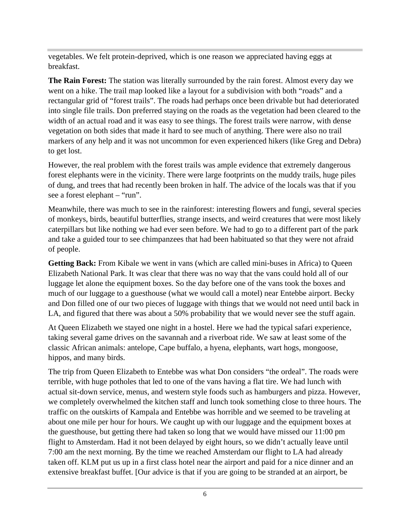vegetables. We felt protein-deprived, which is one reason we appreciated having eggs at breakfast.

**The Rain Forest:** The station was literally surrounded by the rain forest. Almost every day we went on a hike. The trail map looked like a layout for a subdivision with both "roads" and a rectangular grid of "forest trails". The roads had perhaps once been drivable but had deteriorated into single file trails. Don preferred staying on the roads as the vegetation had been cleared to the width of an actual road and it was easy to see things. The forest trails were narrow, with dense vegetation on both sides that made it hard to see much of anything. There were also no trail markers of any help and it was not uncommon for even experienced hikers (like Greg and Debra) to get lost.

However, the real problem with the forest trails was ample evidence that extremely dangerous forest elephants were in the vicinity. There were large footprints on the muddy trails, huge piles of dung, and trees that had recently been broken in half. The advice of the locals was that if you see a forest elephant – "run".

Meanwhile, there was much to see in the rainforest: interesting flowers and fungi, several species of monkeys, birds, beautiful butterflies, strange insects, and weird creatures that were most likely caterpillars but like nothing we had ever seen before. We had to go to a different part of the park and take a guided tour to see chimpanzees that had been habituated so that they were not afraid of people.

Getting Back: From Kibale we went in vans (which are called mini-buses in Africa) to Queen Elizabeth National Park. It was clear that there was no way that the vans could hold all of our luggage let alone the equipment boxes. So the day before one of the vans took the boxes and much of our luggage to a guesthouse (what we would call a motel) near Entebbe airport. Becky and Don filled one of our two pieces of luggage with things that we would not need until back in LA, and figured that there was about a 50% probability that we would never see the stuff again.

At Queen Elizabeth we stayed one night in a hostel. Here we had the typical safari experience, taking several game drives on the savannah and a riverboat ride. We saw at least some of the classic African animals: antelope, Cape buffalo, a hyena, elephants, wart hogs, mongoose, hippos, and many birds.

The trip from Queen Elizabeth to Entebbe was what Don considers "the ordeal". The roads were terrible, with huge potholes that led to one of the vans having a flat tire. We had lunch with actual sit-down service, menus, and western style foods such as hamburgers and pizza. However, we completely overwhelmed the kitchen staff and lunch took something close to three hours. The traffic on the outskirts of Kampala and Entebbe was horrible and we seemed to be traveling at about one mile per hour for hours. We caught up with our luggage and the equipment boxes at the guesthouse, but getting there had taken so long that we would have missed our 11:00 pm flight to Amsterdam. Had it not been delayed by eight hours, so we didn't actually leave until 7:00 am the next morning. By the time we reached Amsterdam our flight to LA had already taken off. KLM put us up in a first class hotel near the airport and paid for a nice dinner and an extensive breakfast buffet. [Our advice is that if you are going to be stranded at an airport, be

 $6\overline{ }$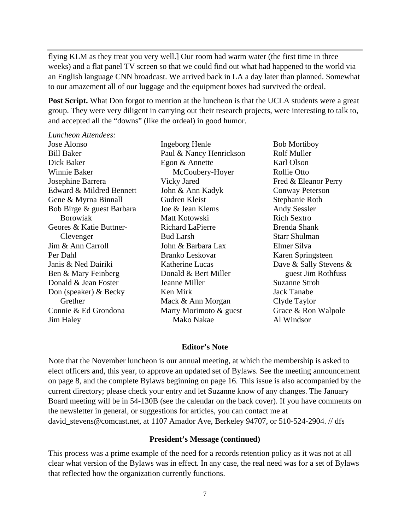flying KLM as they treat you very well.] Our room had warm water (the first time in three weeks) and a flat panel TV screen so that we could find out what had happened to the world via an English language CNN broadcast. We arrived back in LA a day later than planned. Somewhat to our amazement all of our luggage and the equipment boxes had survived the ordeal.

Post Script. What Don forgot to mention at the luncheon is that the UCLA students were a great group. They were very diligent in carrying out their research projects, were interesting to talk to, and accepted all the "downs" (like the ordeal) in good humor.

*Luncheon Attendees:*

Jose Alonso **Ingeborg Henle** Bob Mortiboy Bill Baker **Paul & Nancy Henrickson** Rolf Muller Dick Baker **Egon & Annette** Karl Olson Winnie Baker McCoubery-Hoyer Josephine Barrera **School Exercise Search School** School School School School School School School School School School School School School School School School School School School School School School School School Scho Edward & Mildred Bennett John & Ann Kadyk Conway Peterson Gene & Myrna Binnall Gudren Kleist Stephanie Roth Bob Birge & guest Barbara Joe & Jean Klems Andy Sessler Borowiak Matt Kotowski Rich Sextro Geores & Katie Buttner- Clevenger Bud Larsh Starr Shulman Jim & Ann Carroll Per Dahl Branko Leskovar Janis & Ned Dairiki Katherine Lucas Dave & Sally Stevens & Ben & Mary Feinberg **Donald & Bert Miller** Senset Jim Rothfuss Donald & Jean Foster **Supersection** Jeanne Miller **Supersection** Suzanne Stroh Don (speaker) & Becky Grether Mack & Ann Morgan Clyde Taylor Connie & Ed Grondona Marty Morimoto & guest Grace & Ron Walpole Jim Haley

Paul & Nancy Henrickson Rolf Muller Egon & Annette Vicky Jared **Example 3** Fred & Eleanor Perry John & Ann Kadyk Gudren Kleist Joe & Jean Klems Matt Kotowski Richard LaPierre **Brenda** Shank Bud Larsh Starr Shulman John & Barbara Lax Donald & Bert Miller example guest Jim Rothfuss Jeanne Miller Ken Mirk Mack & Ann Morgan Clyde Taylor

Ingeborg Henle Mako Nakae Bob Mortiboy Rolf Muller Karl Olson Rollie Otto Fred & Eleanor Perry Conway Peterson Stephanie Roth Andy Sessler Rich Sextro Brenda Shank Starr Shulman Elmer Silva Karen Springsteen guest Jim Rothfuss Suzanne Stroh Jack Tanabe Clyde Taylor Al Windsor

#### **Editor's Note**

Note that the November luncheon is our annual meeting, at which the membership is asked to elect officers and, this year, to approve an updated set of Bylaws. See the meeting announcement on page 8, and the complete Bylaws beginning on page 16. This issue is also accompanied by the current directory; please check your entry and let Suzanne know of any changes. The January Board meeting will be in 54-130B (see the calendar on the back cover). If you have comments on the newsletter in general, or suggestions for articles, you can contact me at david\_stevens@comcast.net, at 1107 Amador Ave, Berkeley 94707, or 510-524-2904. // dfs

#### **President's Message (continued)**

This process was a prime example of the need for a records retention policy as it was not at all clear what version of the Bylaws was in effect. In any case, the real need was for a set of Bylaws that reflected how the organization currently functions.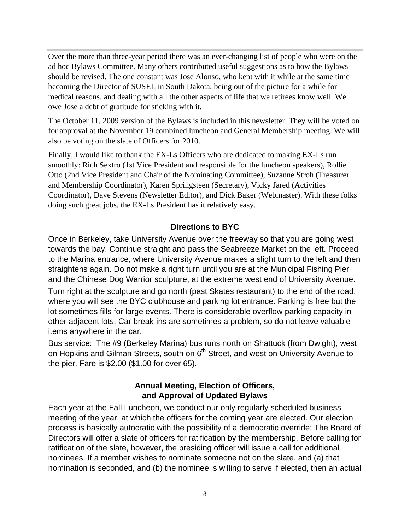Over the more than three-year period there was an ever-changing list of people who were on the ad hoc Bylaws Committee. Many others contributed useful suggestions as to how the Bylaws should be revised. The one constant was Jose Alonso, who kept with it while at the same time becoming the Director of SUSEL in South Dakota, being out of the picture for a while for medical reasons, and dealing with all the other aspects of life that we retirees know well. We owe Jose a debt of gratitude for sticking with it.

The October 11, 2009 version of the Bylaws is included in this newsletter. They will be voted on for approval at the November 19 combined luncheon and General Membership meeting. We will also be voting on the slate of Officers for 2010.

Finally, I would like to thank the EX-Ls Officers who are dedicated to making EX-Ls run smoothly: Rich Sextro (1st Vice President and responsible for the luncheon speakers), Rollie Otto (2nd Vice President and Chair of the Nominating Committee), Suzanne Stroh (Treasurer and Membership Coordinator), Karen Springsteen (Secretary), Vicky Jared (Activities Coordinator), Dave Stevens (Newsletter Editor), and Dick Baker (Webmaster). With these folks doing such great jobs, the EX-Ls President has it relatively easy.

#### **Directions to BYC**

Once in Berkeley, take University Avenue over the freeway so that you are going west towards the bay. Continue straight and pass the Seabreeze Market on the left. Proceed to the Marina entrance, where University Avenue makes a slight turn to the left and then straightens again. Do not make a right turn until you are at the Municipal Fishing Pier and the Chinese Dog Warrior sculpture, at the extreme west end of University Avenue.

Turn right at the sculpture and go north (past Skates restaurant) to the end of the road, where you will see the BYC clubhouse and parking lot entrance. Parking is free but the lot sometimes fills for large events. There is considerable overflow parking capacity in other adjacent lots. Car break-ins are sometimes a problem, so do not leave valuable items anywhere in the car.

Bus service: The #9 (Berkeley Marina) bus runs north on Shattuck (from Dwight), west on Hopkins and Gilman Streets, south on 6<sup>th</sup> Street, and west on University Avenue to the pier. Fare is \$2.00 (\$1.00 for over 65).

#### **Annual Meeting, Election of Officers, and Approval of Updated Bylaws**

Each year at the Fall Luncheon, we conduct our only regularly scheduled business meeting of the year, at which the officers for the coming year are elected. Our election process is basically autocratic with the possibility of a democratic override: The Board of Directors will offer a slate of officers for ratification by the membership. Before calling for ratification of the slate, however, the presiding officer will issue a call for additional nominees. If a member wishes to nominate someone not on the slate, and (a) that nomination is seconded, and (b) the nominee is willing to serve if elected, then an actual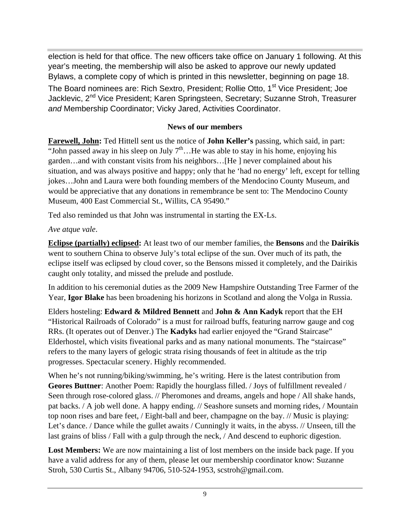election is held for that office. The new officers take office on January 1 following. At this year's meeting, the membership will also be asked to approve our newly updated Bylaws, a complete copy of which is printed in this newsletter, beginning on page 18. The Board nominees are: Rich Sextro, President; Rollie Otto, 1<sup>st</sup> Vice President; Joe Jacklevic, 2<sup>nd</sup> Vice President; Karen Springsteen, Secretary; Suzanne Stroh, Treasurer and Membership Coordinator; Vicky Jared, Activities Coordinator.

#### **News of our members**

**Farewell, John:** Ted Hittell sent us the notice of **John Keller's** passing, which said, in part: "John passed away in his sleep on July  $7<sup>th</sup>$ ... He was able to stay in his home, enjoying his garden…and with constant visits from his neighbors…[He ] never complained about his situation, and was always positive and happy; only that he 'had no energy' left, except for telling jokes…John and Laura were both founding members of the Mendocino County Museum, and would be appreciative that any donations in remembrance be sent to: The Mendocino County Museum, 400 East Commercial St., Willits, CA 95490."

Ted also reminded us that John was instrumental in starting the EX-Ls.

#### *Ave atque vale*.

**Eclipse (partially) eclipsed:** At least two of our member families, the **Bensons** and the **Dairikis** went to southern China to observe July's total eclipse of the sun. Over much of its path, the eclipse itself was eclipsed by cloud cover, so the Bensons missed it completely, and the Dairikis caught only totality, and missed the prelude and postlude.

In addition to his ceremonial duties as the 2009 New Hampshire Outstanding Tree Farmer of the Year, **Igor Blake** has been broadening his horizons in Scotland and along the Volga in Russia.

Elders hosteling: **Edward & Mildred Bennett** and **John & Ann Kadyk** report that the EH "Historical Railroads of Colorado" is a must for railroad buffs, featuring narrow gauge and cog RRs. (It operates out of Denver.) The **Kadyks** had earlier enjoyed the "Grand Staircase" Elderhostel, which visits fiveational parks and as many national monuments. The "staircase" refers to the many layers of gelogic strata rising thousands of feet in altitude as the trip progresses. Spectacular scenery. Highly recommended.

When he's not running/biking/swimming, he's writing. Here is the latest contribution from **Geores Buttner**: Another Poem: Rapidly the hourglass filled. / Joys of fulfillment revealed / Seen through rose-colored glass. // Pheromones and dreams, angels and hope / All shake hands, pat backs. / A job well done. A happy ending. // Seashore sunsets and morning rides, / Mountain top noon rises and bare feet, / Eight-ball and beer, champagne on the bay. // Music is playing: Let's dance. / Dance while the gullet awaits / Cunningly it waits, in the abyss. // Unseen, till the last grains of bliss / Fall with a gulp through the neck, / And descend to euphoric digestion.

Lost Members: We are now maintaining a list of lost members on the inside back page. If you have a valid address for any of them, please let our membership coordinator know: Suzanne Stroh, 530 Curtis St., Albany 94706, 510-524-1953, scstroh@gmail.com.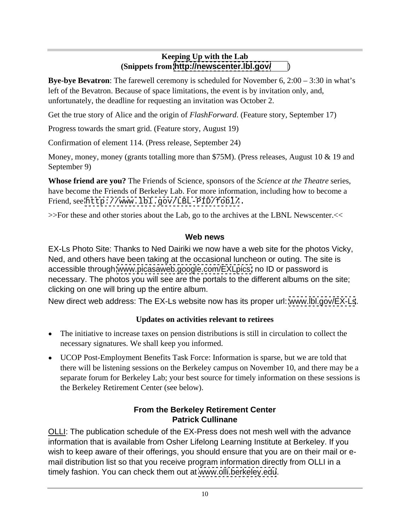#### **Keeping Up with the Lab (Snippets from <http://newscenter.lbl.gov/>** )

**Bye-bye Bevatron**: The farewell ceremony is scheduled for November 6, 2:00 – 3:30 in what's left of the Bevatron. Because of space limitations, the event is by invitation only, and, unfortunately, the deadline for requesting an invitation was October 2.

Get the true story of Alice and the origin of *FlashForward*. (Feature story, September 17)

Progress towards the smart grid. (Feature story, August 19)

Confirmation of element 114. (Press release, September 24)

Money, money, money (grants totalling more than \$75M). (Press releases, August 10 & 19 and September 9)

**Whose friend are you?** The Friends of Science, sponsors of the *Science at the Theatre* series, have become the Friends of Berkeley Lab. For more information, including how to become a Friend, see <http://www.lbl.gov/LBL-PID/fobl/>.

>>For these and other stories about the Lab, go to the archives at the LBNL Newscenter.<<

#### **Web news**

EX-Ls Photo Site: Thanks to Ned Dairiki we now have a web site for the photos Vicky, Ned, and others have been taking at the occasional luncheon or outing. The site is accessible through [www.picasaweb.google.com/EXLpics;](http://www.picasaweb.google.com/EXLpics;) no ID or password is necessary. The photos you will see are the portals to the different albums on the site; clicking on one will bring up the entire album.

New direct web address: The EX-Ls website now has its proper url: [www.lbl.gov/EX-Ls](http://www.lbl.gov/EX-Ls).

## **Updates on activities relevant to retirees**

- The initiative to increase taxes on pension distributions is still in circulation to collect the necessary signatures. We shall keep you informed.
- UCOP Post-Employment Benefits Task Force: Information is sparse, but we are told that there will be listening sessions on the Berkeley campus on November 10, and there may be a separate forum for Berkeley Lab; your best source for timely information on these sessions is the Berkeley Retirement Center (see below).

#### **From the Berkeley Retirement Center Patrick Cullinane**

OLLI: The publication schedule of the EX-Press does not mesh well with the advance information that is available from Osher Lifelong Learning Institute at Berkeley. If you wish to keep aware of their offerings, you should ensure that you are on their mail or e mail distribution list so that you receive program information directly from OLLI in a timely fashion. You can check them out at [www.olli.berkeley.edu](http://www.olli.berkeley.edu).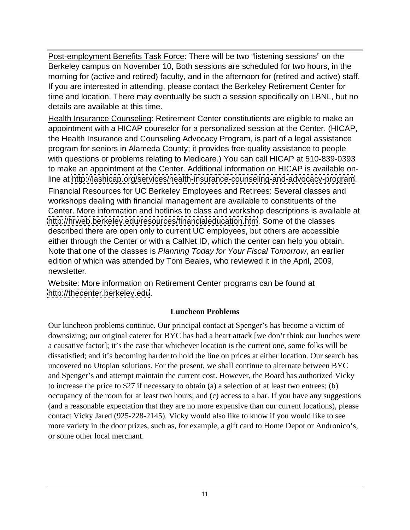Post-employment Benefits Task Force: There will be two "listening sessions" on the Berkeley campus on November 10, Both sessions are scheduled for two hours, in the morning for (active and retired) faculty, and in the afternoon for (retired and active) staff. If you are interested in attending, please contact the Berkeley Retirement Center for time and location. There may eventually be such a session specifically on LBNL, but no details are available at this time.

Health Insurance Counseling: Retirement Center constitutients are eligible to make an appointment with a HICAP counselor for a personalized session at the Center. (HICAP, the Health Insurance and Counseling Advocacy Program, is part of a legal assistance program for seniors in Alameda County; it provides free quality assistance to people with questions or problems relating to Medicare.) You can call HICAP at 510-839-0393 to make an appointment at the Center. Additional information on HICAP is available online at<http://lashicap.org/services/health-insurance-counseling-and-advocacy-program>. Financial Resources for UC Berkeley Employees and Retirees: Several classes and

workshops dealing with financial management are available to constituents of the Center. More information and hotlinks to class and workshop descriptions is available at <http://hrweb.berkeley.edu/resources/financialeducation.htm>. Some of the classes described there are open only to current UC employees, but others are accessible either through the Center or with a CalNet ID, which the center can help you obtain. Note that one of the classes is Planning Today for Your Fiscal Tomorrow, an earlier edition of which was attended by Tom Beales, who reviewed it in the April, 2009, newsletter.

Website: More information on Retirement Center programs can be found at <http://thecenter.berkeley.edu>.

#### **Luncheon Problems**

Our luncheon problems continue. Our principal contact at Spenger's has become a victim of downsizing; our original caterer for BYC has had a heart attack [we don't think our lunches were a causative factor]; it's the case that whichever location is the current one, some folks will be dissatisfied; and it's becoming harder to hold the line on prices at either location. Our search has uncovered no Utopian solutions. For the present, we shall continue to alternate between BYC and Spenger's and attempt maintain the current cost. However, the Board has authorized Vicky to increase the price to \$27 if necessary to obtain (a) a selection of at least two entrees; (b) occupancy of the room for at least two hours; and (c) access to a bar. If you have any suggestions (and a reasonable expectation that they are no more expensive than our current locations), please contact Vicky Jared (925-228-2145). Vicky would also like to know if you would like to see more variety in the door prizes, such as, for example, a gift card to Home Depot or Andronico's, or some other local merchant.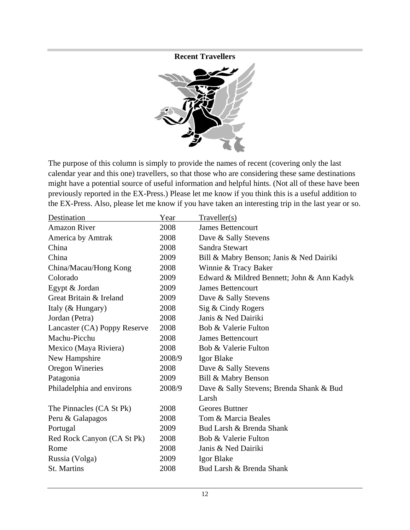**Recent Travellers**



The purpose of this column is simply to provide the names of recent (covering only the last calendar year and this one) travellers, so that those who are considering these same destinations might have a potential source of useful information and helpful hints. (Not all of these have been previously reported in the EX-Press.) Please let me know if you think this is a useful addition to the EX-Press. Also, please let me know if you have taken an interesting trip in the last year or so.

| Destination                  | Year   | Traveller(s)                               |
|------------------------------|--------|--------------------------------------------|
| <b>Amazon River</b>          | 2008   | James Bettencourt                          |
| America by Amtrak            | 2008   | Dave & Sally Stevens                       |
| China                        | 2008   | Sandra Stewart                             |
| China                        | 2009   | Bill & Mabry Benson; Janis & Ned Dairiki   |
| China/Macau/Hong Kong        | 2008   | Winnie & Tracy Baker                       |
| Colorado                     | 2009   | Edward & Mildred Bennett; John & Ann Kadyk |
| Egypt & Jordan               | 2009   | James Bettencourt                          |
| Great Britain & Ireland      | 2009   | Dave & Sally Stevens                       |
| Italy (& Hungary)            | 2008   | Sig & Cindy Rogers                         |
| Jordan (Petra)               | 2008   | Janis & Ned Dairiki                        |
| Lancaster (CA) Poppy Reserve | 2008   | Bob & Valerie Fulton                       |
| Machu-Picchu                 | 2008   | James Bettencourt                          |
| Mexico (Maya Riviera)        | 2008   | Bob & Valerie Fulton                       |
| New Hampshire                | 2008/9 | Igor Blake                                 |
| Oregon Wineries              | 2008   | Dave & Sally Stevens                       |
| Patagonia                    | 2009   | Bill & Mabry Benson                        |
| Philadelphia and environs    | 2008/9 | Dave & Sally Stevens; Brenda Shank & Bud   |
|                              |        | Larsh                                      |
| The Pinnacles (CA St Pk)     | 2008   | Geores Buttner                             |
| Peru & Galapagos             | 2008   | Tom & Marcia Beales                        |
| Portugal                     | 2009   | Bud Larsh & Brenda Shank                   |
| Red Rock Canyon (CA St Pk)   | 2008   | Bob & Valerie Fulton                       |
| Rome                         | 2008   | Janis & Ned Dairiki                        |
| Russia (Volga)               | 2009   | Igor Blake                                 |
| St. Martins                  | 2008   | Bud Larsh & Brenda Shank                   |
|                              |        |                                            |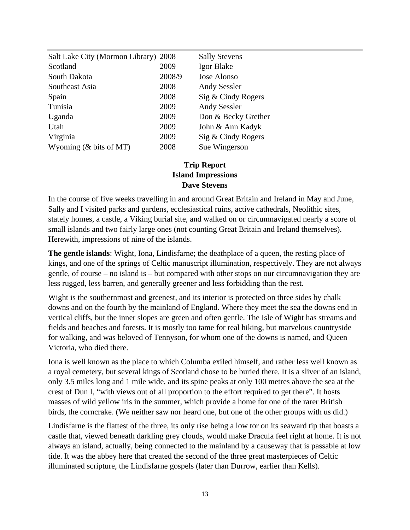| Salt Lake City (Mormon Library) 2008 |        | <b>Sally Stevens</b> |
|--------------------------------------|--------|----------------------|
| Scotland                             | 2009   | Igor Blake           |
| South Dakota                         | 2008/9 | Jose Alonso          |
| Southeast Asia                       | 2008   | <b>Andy Sessler</b>  |
| Spain                                | 2008   | Sig & Cindy Rogers   |
| Tunisia                              | 2009   | <b>Andy Sessler</b>  |
| Uganda                               | 2009   | Don & Becky Grether  |
| Utah                                 | 2009   | John & Ann Kadyk     |
| Virginia                             | 2009   | Sig & Cindy Rogers   |
| Wyoming (& bits of MT)               | 2008   | Sue Wingerson        |

#### **Trip Report Island Impressions Dave Stevens**

In the course of five weeks travelling in and around Great Britain and Ireland in May and June, Sally and I visited parks and gardens, ecclesiastical ruins, active cathedrals, Neolithic sites, stately homes, a castle, a Viking burial site, and walked on or circumnavigated nearly a score of small islands and two fairly large ones (not counting Great Britain and Ireland themselves). Herewith, impressions of nine of the islands.

**The gentle islands**: Wight, Iona, Lindisfarne; the deathplace of a queen, the resting place of kings, and one of the springs of Celtic manuscript illumination, respectively. They are not always gentle, of course – no island is – but compared with other stops on our circumnavigation they are less rugged, less barren, and generally greener and less forbidding than the rest.

Wight is the southernmost and greenest, and its interior is protected on three sides by chalk downs and on the fourth by the mainland of England. Where they meet the sea the downs end in vertical cliffs, but the inner slopes are green and often gentle. The Isle of Wight has streams and fields and beaches and forests. It is mostly too tame for real hiking, but marvelous countryside for walking, and was beloved of Tennyson, for whom one of the downs is named, and Queen Victoria, who died there.

Iona is well known as the place to which Columba exiled himself, and rather less well known as a royal cemetery, but several kings of Scotland chose to be buried there. It is a sliver of an island, only 3.5 miles long and 1 mile wide, and its spine peaks at only 100 metres above the sea at the crest of Dun I, "with views out of all proportion to the effort required to get there". It hosts masses of wild yellow iris in the summer, which provide a home for one of the rarer British birds, the corncrake. (We neither saw nor heard one, but one of the other groups with us did.)

Lindisfarne is the flattest of the three, its only rise being a low tor on its seaward tip that boasts a castle that, viewed beneath darkling grey clouds, would make Dracula feel right at home. It is not always an island, actually, being connected to the mainland by a causeway that is passable at low tide. It was the abbey here that created the second of the three great masterpieces of Celtic illuminated scripture, the Lindisfarne gospels (later than Durrow, earlier than Kells).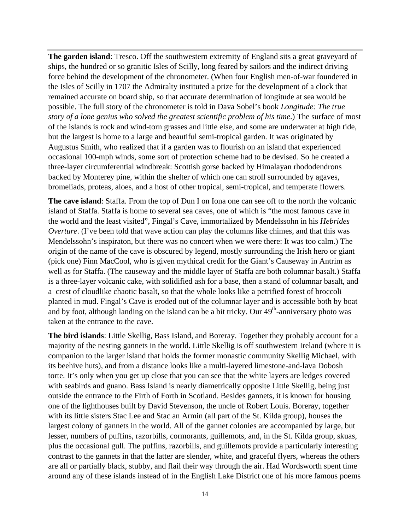**The garden island**: Tresco. Off the southwestern extremity of England sits a great graveyard of ships, the hundred or so granitic Isles of Scilly, long feared by sailors and the indirect driving force behind the development of the chronometer. (When four English men-of-war foundered in the Isles of Scilly in 1707 the Admiralty instituted a prize for the development of a clock that remained accurate on board ship, so that accurate determination of longitude at sea would be possible. The full story of the chronometer is told in Dava Sobel's book *Longitude: The true story of a lone genius who solved the greatest scientific problem of his time*.) The surface of most of the islands is rock and wind-torn grasses and little else, and some are underwater at high tide, but the largest is home to a large and beautiful semi-tropical garden. It was originated by Augustus Smith, who realized that if a garden was to flourish on an island that experienced occasional 100-mph winds, some sort of protection scheme had to be devised. So he created a three-layer circumferential windbreak: Scottish gorse backed by Himalayan rhododendrons backed by Monterey pine, within the shelter of which one can stroll surrounded by agaves, bromeliads, proteas, aloes, and a host of other tropical, semi-tropical, and temperate flowers.

**The cave island**: Staffa. From the top of Dun I on Iona one can see off to the north the volcanic island of Staffa. Staffa is home to several sea caves, one of which is "the most famous cave in the world and the least visited", Fingal's Cave, immortalized by Mendelssohn in his *Hebrides Overture*. (I've been told that wave action can play the columns like chimes, and that this was Mendelssohn's inspiraton, but there was no concert when we were there: It was too calm.) The origin of the name of the cave is obscured by legend, mostly surrounding the Irish hero or giant (pick one) Finn MacCool, who is given mythical credit for the Giant's Causeway in Antrim as well as for Staffa. (The causeway and the middle layer of Staffa are both columnar basalt.) Staffa is a three-layer volcanic cake, with solidified ash for a base, then a stand of columnar basalt, and a crest of cloudlike chaotic basalt, so that the whole looks like a petrified forest of broccoli planted in mud. Fingal's Cave is eroded out of the columnar layer and is accessible both by boat and by foot, although landing on the island can be a bit tricky. Our 49<sup>th</sup>-anniversary photo was taken at the entrance to the cave.

**The bird islands**: Little Skellig, Bass Island, and Boreray. Together they probably account for a majority of the nesting gannets in the world. Little Skellig is off southwestern Ireland (where it is companion to the larger island that holds the former monastic community Skellig Michael, with its beehive huts), and from a distance looks like a multi-layered limestone-and-lava Dobosh torte. It's only when you get up close that you can see that the white layers are ledges covered with seabirds and guano. Bass Island is nearly diametrically opposite Little Skellig, being just outside the entrance to the Firth of Forth in Scotland. Besides gannets, it is known for housing one of the lighthouses built by David Stevenson, the uncle of Robert Louis. Boreray, together with its little sisters Stac Lee and Stac an Armin (all part of the St. Kilda group), houses the largest colony of gannets in the world. All of the gannet colonies are accompanied by large, but lesser, numbers of puffins, razorbills, cormorants, guillemots, and, in the St. Kilda group, skuas, plus the occasional gull. The puffins, razorbills, and guillemots provide a particularly interesting contrast to the gannets in that the latter are slender, white, and graceful flyers, whereas the others are all or partially black, stubby, and flail their way through the air. Had Wordsworth spent time around any of these islands instead of in the English Lake District one of his more famous poems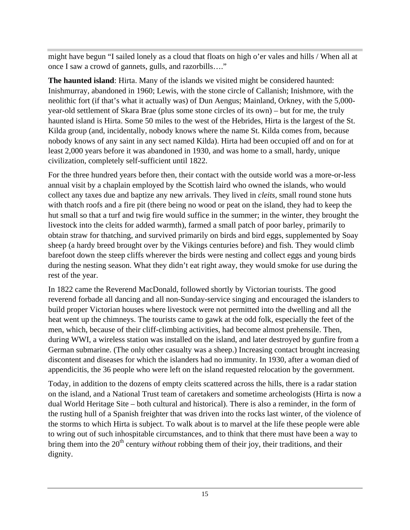might have begun "I sailed lonely as a cloud that floats on high o'er vales and hills / When all at once I saw a crowd of gannets, gulls, and razorbills…."

**The haunted island**: Hirta. Many of the islands we visited might be considered haunted: Inishmurray, abandoned in 1960; Lewis, with the stone circle of Callanish; Inishmore, with the neolithic fort (if that's what it actually was) of Dun Aengus; Mainland, Orkney, with the 5,000 year-old settlement of Skara Brae (plus some stone circles of its own) – but for me, the truly haunted island is Hirta. Some 50 miles to the west of the Hebrides, Hirta is the largest of the St. Kilda group (and, incidentally, nobody knows where the name St. Kilda comes from, because nobody knows of any saint in any sect named Kilda). Hirta had been occupied off and on for at least 2,000 years before it was abandoned in 1930, and was home to a small, hardy, unique civilization, completely self-sufficient until 1822.

For the three hundred years before then, their contact with the outside world was a more-or-less annual visit by a chaplain employed by the Scottish laird who owned the islands, who would collect any taxes due and baptize any new arrivals. They lived in *cleits*, small round stone huts with thatch roofs and a fire pit (there being no wood or peat on the island, they had to keep the hut small so that a turf and twig fire would suffice in the summer; in the winter, they brought the livestock into the cleits for added warmth), farmed a small patch of poor barley, primarily to obtain straw for thatching, and survived primarily on birds and bird eggs, supplemented by Soay sheep (a hardy breed brought over by the Vikings centuries before) and fish. They would climb barefoot down the steep cliffs wherever the birds were nesting and collect eggs and young birds during the nesting season. What they didn't eat right away, they would smoke for use during the rest of the year.

In 1822 came the Reverend MacDonald, followed shortly by Victorian tourists. The good reverend forbade all dancing and all non-Sunday-service singing and encouraged the islanders to build proper Victorian houses where livestock were not permitted into the dwelling and all the heat went up the chimneys. The tourists came to gawk at the odd folk, especially the feet of the men, which, because of their cliff-climbing activities, had become almost prehensile. Then, during WWI, a wireless station was installed on the island, and later destroyed by gunfire from a German submarine. (The only other casualty was a sheep.) Increasing contact brought increasing discontent and diseases for which the islanders had no immunity. In 1930, after a woman died of appendicitis, the 36 people who were left on the island requested relocation by the government.

Today, in addition to the dozens of empty cleits scattered across the hills, there is a radar station on the island, and a National Trust team of caretakers and sometime archeologists (Hirta is now a dual World Heritage Site – both cultural and historical). There is also a reminder, in the form of the rusting hull of a Spanish freighter that was driven into the rocks last winter, of the violence of the storms to which Hirta is subject. To walk about is to marvel at the life these people were able to wring out of such inhospitable circumstances, and to think that there must have been a way to bring them into the 20<sup>th</sup> century *without* robbing them of their joy, their traditions, and their dignity.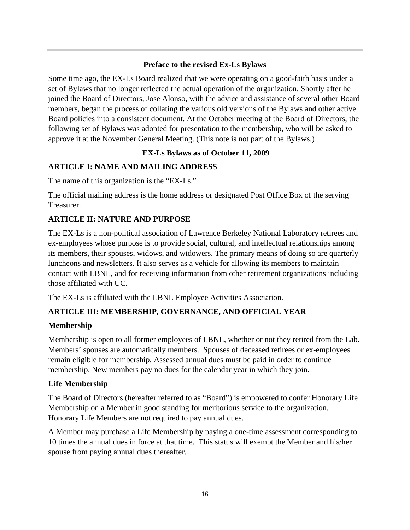#### **Preface to the revised Ex-Ls Bylaws**

Some time ago, the EX-Ls Board realized that we were operating on a good-faith basis under a set of Bylaws that no longer reflected the actual operation of the organization. Shortly after he joined the Board of Directors, Jose Alonso, with the advice and assistance of several other Board members, began the process of collating the various old versions of the Bylaws and other active Board policies into a consistent document. At the October meeting of the Board of Directors, the following set of Bylaws was adopted for presentation to the membership, who will be asked to approve it at the November General Meeting. (This note is not part of the Bylaws.)

## **EX-Ls Bylaws as of October 11, 2009**

## **ARTICLE I: NAME AND MAILING ADDRESS**

The name of this organization is the "EX-Ls."

The official mailing address is the home address or designated Post Office Box of the serving Treasurer.

## **ARTICLE II: NATURE AND PURPOSE**

The EX-Ls is a non-political association of Lawrence Berkeley National Laboratory retirees and ex-employees whose purpose is to provide social, cultural, and intellectual relationships among its members, their spouses, widows, and widowers. The primary means of doing so are quarterly luncheons and newsletters. It also serves as a vehicle for allowing its members to maintain contact with LBNL, and for receiving information from other retirement organizations including those affiliated with UC.

The EX-Ls is affiliated with the LBNL Employee Activities Association.

## **ARTICLE III: MEMBERSHIP, GOVERNANCE, AND OFFICIAL YEAR**

## **Membership**

Membership is open to all former employees of LBNL, whether or not they retired from the Lab. Members' spouses are automatically members. Spouses of deceased retirees or ex-employees remain eligible for membership. Assessed annual dues must be paid in order to continue membership. New members pay no dues for the calendar year in which they join.

## **Life Membership**

The Board of Directors (hereafter referred to as "Board") is empowered to confer Honorary Life Membership on a Member in good standing for meritorious service to the organization. Honorary Life Members are not required to pay annual dues.

A Member may purchase a Life Membership by paying a one-time assessment corresponding to 10 times the annual dues in force at that time. This status will exempt the Member and his/her spouse from paying annual dues thereafter.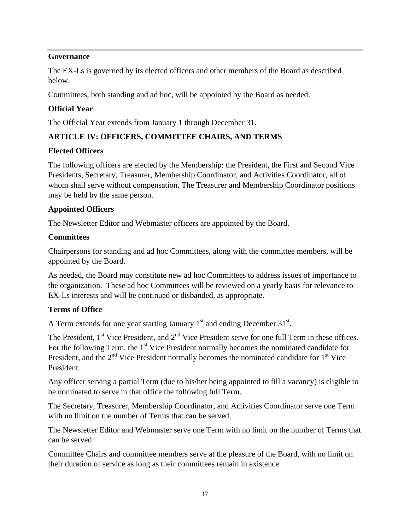#### **Governance**

The EX-Ls is governed by its elected officers and other members of the Board as described below.

Committees, both standing and ad hoc, will be appointed by the Board as needed.

#### **Official Year**

The Official Year extends from January 1 through December 31.

#### **ARTICLE IV: OFFICERS, COMMITTEE CHAIRS, AND TERMS**

#### **Elected Officers**

The following officers are elected by the Membership: the President, the First and Second Vice Presidents, Secretary, Treasurer, Membership Coordinator, and Activities Coordinator, all of whom shall serve without compensation. The Treasurer and Membership Coordinator positions may be held by the same person.

#### **Appointed Officers**

The Newsletter Editor and Webmaster officers are appointed by the Board.

#### **Committees**

Chairpersons for standing and ad hoc Committees, along with the committee members, will be appointed by the Board.

As needed, the Board may constitute new ad hoc Committees to address issues of importance to the organization. These ad hoc Committees will be reviewed on a yearly basis for relevance to EX-Ls interests and will be continued or disbanded, as appropriate.

#### **Terms of Office**

A Term extends for one year starting January  $1<sup>st</sup>$  and ending December 31<sup>st</sup>. .

The President,  $1^{st}$  Vice President, and  $2^{nd}$  Vice President serve for one full Term in these offices. For the following Term, the  $1<sup>st</sup>$  Vice President normally becomes the nominated candidate for President, and the  $2<sup>nd</sup>$  Vice President normally becomes the nominated candidate for  $1<sup>st</sup>$  Vice President.

Any officer serving a partial Term (due to his/her being appointed to fill a vacancy) is eligible to be nominated to serve in that office the following full Term.

The Secretary, Treasurer, Membership Coordinator, and Activities Coordinator serve one Term with no limit on the number of Terms that can be served.

The Newsletter Editor and Webmaster serve one Term with no limit on the number of Terms that can be served.

Committee Chairs and committee members serve at the pleasure of the Board, with no limit on their duration of service as long as their committees remain in existence.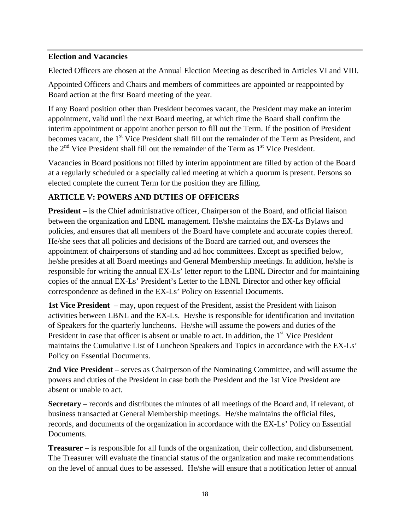#### **Election and Vacancies**

Elected Officers are chosen at the Annual Election Meeting as described in Articles VI and VIII.

Appointed Officers and Chairs and members of committees are appointed or reappointed by Board action at the first Board meeting of the year.

If any Board position other than President becomes vacant, the President may make an interim appointment, valid until the next Board meeting, at which time the Board shall confirm the interim appointment or appoint another person to fill out the Term. If the position of President becomes vacant, the 1<sup>st</sup> Vice President shall fill out the remainder of the Term as President, and the  $2<sup>nd</sup>$  Vice President shall fill out the remainder of the Term as  $1<sup>st</sup>$  Vice President.

Vacancies in Board positions not filled by interim appointment are filled by action of the Board at a regularly scheduled or a specially called meeting at which a quorum is present. Persons so elected complete the current Term for the position they are filling.

#### **ARTICLE V: POWERS AND DUTIES OF OFFICERS**

**President** – is the Chief administrative officer, Chairperson of the Board, and official liaison between the organization and LBNL management. He/she maintains the EX-Ls Bylaws and policies, and ensures that all members of the Board have complete and accurate copies thereof. He/she sees that all policies and decisions of the Board are carried out, and oversees the appointment of chairpersons of standing and ad hoc committees. Except as specified below, he/she presides at all Board meetings and General Membership meetings. In addition, he/she is responsible for writing the annual EX-Ls' letter report to the LBNL Director and for maintaining copies of the annual EX-Ls' President's Letter to the LBNL Director and other key official correspondence as defined in the EX-Ls' Policy on Essential Documents.

**1st Vice President** – may, upon request of the President, assist the President with liaison activities between LBNL and the EX-Ls. He/she is responsible for identification and invitation of Speakers for the quarterly luncheons. He/she will assume the powers and duties of the President in case that officer is absent or unable to act. In addition, the  $1<sup>st</sup>$  Vice President maintains the Cumulative List of Luncheon Speakers and Topics in accordance with the EX-Ls' Policy on Essential Documents.

**2nd Vice President** – serves as Chairperson of the Nominating Committee, and will assume the powers and duties of the President in case both the President and the 1st Vice President are absent or unable to act.

**Secretary** – records and distributes the minutes of all meetings of the Board and, if relevant, of business transacted at General Membership meetings. He/she maintains the official files, records, and documents of the organization in accordance with the EX-Ls' Policy on Essential Documents.

**Treasurer** – is responsible for all funds of the organization, their collection, and disbursement. The Treasurer will evaluate the financial status of the organization and make recommendations on the level of annual dues to be assessed. He/she will ensure that a notification letter of annual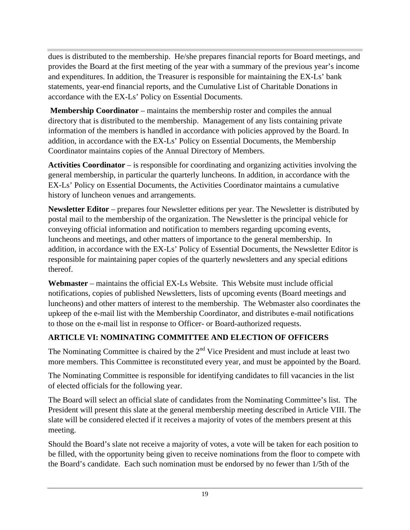dues is distributed to the membership. He/she prepares financial reports for Board meetings, and provides the Board at the first meeting of the year with a summary of the previous year's income and expenditures. In addition, the Treasurer is responsible for maintaining the EX-Ls' bank statements, year-end financial reports, and the Cumulative List of Charitable Donations in accordance with the EX-Ls' Policy on Essential Documents.

**Membership Coordinator** – maintains the membership roster and compiles the annual directory that is distributed to the membership. Management of any lists containing private information of the members is handled in accordance with policies approved by the Board. In addition, in accordance with the EX-Ls' Policy on Essential Documents, the Membership Coordinator maintains copies of the Annual Directory of Members.

**Activities Coordinator** – is responsible for coordinating and organizing activities involving the general membership, in particular the quarterly luncheons. In addition, in accordance with the EX-Ls' Policy on Essential Documents, the Activities Coordinator maintains a cumulative history of luncheon venues and arrangements.

**Newsletter Editor** – prepares four Newsletter editions per year. The Newsletter is distributed by postal mail to the membership of the organization. The Newsletter is the principal vehicle for conveying official information and notification to members regarding upcoming events, luncheons and meetings, and other matters of importance to the general membership. In addition, in accordance with the EX-Ls' Policy of Essential Documents, the Newsletter Editor is responsible for maintaining paper copies of the quarterly newsletters and any special editions thereof.

**Webmaster** – maintains the official EX-Ls Website. This Website must include official notifications, copies of published Newsletters, lists of upcoming events (Board meetings and luncheons) and other matters of interest to the membership. The Webmaster also coordinates the upkeep of the e-mail list with the Membership Coordinator, and distributes e-mail notifications to those on the e-mail list in response to Officer- or Board-authorized requests.

## **ARTICLE VI: NOMINATING COMMITTEE AND ELECTION OF OFFICERS**

The Nominating Committee is chaired by the  $2<sup>nd</sup>$  Vice President and must include at least two more members. This Committee is reconstituted every year, and must be appointed by the Board.

The Nominating Committee is responsible for identifying candidates to fill vacancies in the list of elected officials for the following year.

The Board will select an official slate of candidates from the Nominating Committee's list. The President will present this slate at the general membership meeting described in Article VIII. The slate will be considered elected if it receives a majority of votes of the members present at this meeting.

Should the Board's slate not receive a majority of votes, a vote will be taken for each position to be filled, with the opportunity being given to receive nominations from the floor to compete with the Board's candidate. Each such nomination must be endorsed by no fewer than 1/5th of the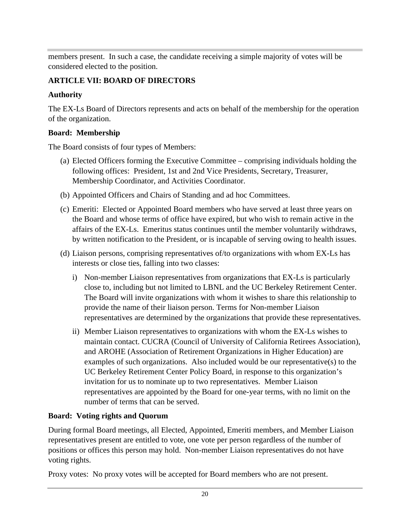members present. In such a case, the candidate receiving a simple majority of votes will be considered elected to the position.

### **ARTICLE VII: BOARD OF DIRECTORS**

### **Authority**

The EX-Ls Board of Directors represents and acts on behalf of the membership for the operation of the organization.

#### **Board: Membership**

The Board consists of four types of Members:

- (a) Elected Officers forming the Executive Committee comprising individuals holding the following offices: President, 1st and 2nd Vice Presidents, Secretary, Treasurer, Membership Coordinator, and Activities Coordinator.
- (b) Appointed Officers and Chairs of Standing and ad hoc Committees.
- (c) Emeriti: Elected or Appointed Board members who have served at least three years on the Board and whose terms of office have expired, but who wish to remain active in the affairs of the EX-Ls. Emeritus status continues until the member voluntarily withdraws, by written notification to the President, or is incapable of serving owing to health issues.
- (d) Liaison persons, comprising representatives of/to organizations with whom EX-Ls has interests or close ties, falling into two classes:
	- i) Non-member Liaison representatives from organizations that EX-Ls is particularly close to, including but not limited to LBNL and the UC Berkeley Retirement Center. The Board will invite organizations with whom it wishes to share this relationship to provide the name of their liaison person. Terms for Non-member Liaison representatives are determined by the organizations that provide these representatives.
	- ii) Member Liaison representatives to organizations with whom the EX-Ls wishes to maintain contact. CUCRA (Council of University of California Retirees Association), and AROHE (Association of Retirement Organizations in Higher Education) are examples of such organizations. Also included would be our representative(s) to the UC Berkeley Retirement Center Policy Board, in response to this organization's invitation for us to nominate up to two representatives. Member Liaison representatives are appointed by the Board for one-year terms, with no limit on the number of terms that can be served.

## **Board: Voting rights and Quorum**

During formal Board meetings, all Elected, Appointed, Emeriti members, and Member Liaison representatives present are entitled to vote, one vote per person regardless of the number of positions or offices this person may hold. Non-member Liaison representatives do not have voting rights.

Proxy votes: No proxy votes will be accepted for Board members who are not present.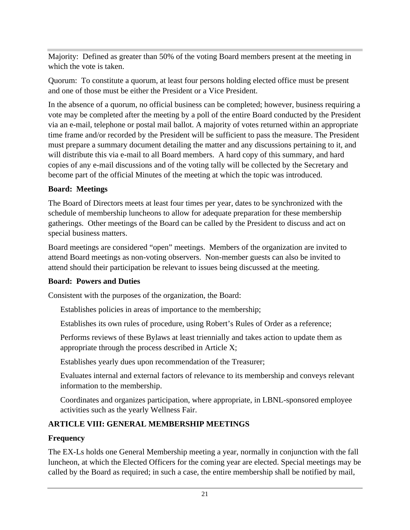Majority: Defined as greater than 50% of the voting Board members present at the meeting in which the vote is taken.

Quorum: To constitute a quorum, at least four persons holding elected office must be present and one of those must be either the President or a Vice President.

In the absence of a quorum, no official business can be completed; however, business requiring a vote may be completed after the meeting by a poll of the entire Board conducted by the President via an e-mail, telephone or postal mail ballot. A majority of votes returned within an appropriate time frame and/or recorded by the President will be sufficient to pass the measure. The President must prepare a summary document detailing the matter and any discussions pertaining to it, and will distribute this via e-mail to all Board members. A hard copy of this summary, and hard copies of any e-mail discussions and of the voting tally will be collected by the Secretary and become part of the official Minutes of the meeting at which the topic was introduced.

#### **Board: Meetings**

The Board of Directors meets at least four times per year, dates to be synchronized with the schedule of membership luncheons to allow for adequate preparation for these membership gatherings. Other meetings of the Board can be called by the President to discuss and act on special business matters.

Board meetings are considered "open" meetings. Members of the organization are invited to attend Board meetings as non-voting observers. Non-member guests can also be invited to attend should their participation be relevant to issues being discussed at the meeting.

#### **Board: Powers and Duties**

Consistent with the purposes of the organization, the Board:

Establishes policies in areas of importance to the membership;

Establishes its own rules of procedure, using Robert's Rules of Order as a reference;

Performs reviews of these Bylaws at least triennially and takes action to update them as appropriate through the process described in Article X;

Establishes yearly dues upon recommendation of the Treasurer;

Evaluates internal and external factors of relevance to its membership and conveys relevant information to the membership.

Coordinates and organizes participation, where appropriate, in LBNL-sponsored employee activities such as the yearly Wellness Fair.

## **ARTICLE VIII: GENERAL MEMBERSHIP MEETINGS**

## **Frequency**

The EX-Ls holds one General Membership meeting a year, normally in conjunction with the fall luncheon, at which the Elected Officers for the coming year are elected. Special meetings may be called by the Board as required; in such a case, the entire membership shall be notified by mail,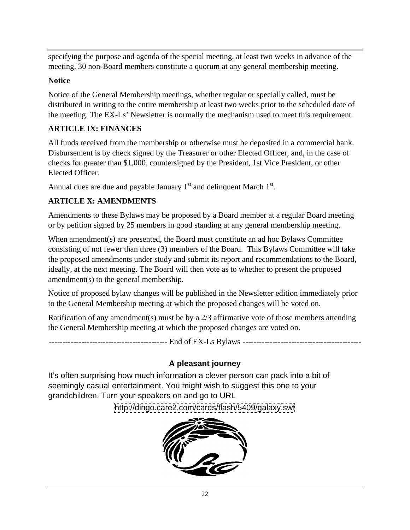specifying the purpose and agenda of the special meeting, at least two weeks in advance of the meeting. 30 non-Board members constitute a quorum at any general membership meeting.

#### **Notice**

Notice of the General Membership meetings, whether regular or specially called, must be distributed in writing to the entire membership at least two weeks prior to the scheduled date of the meeting. The EX-Ls' Newsletter is normally the mechanism used to meet this requirement.

#### **ARTICLE IX: FINANCES**

All funds received from the membership or otherwise must be deposited in a commercial bank. Disbursement is by check signed by the Treasurer or other Elected Officer, and, in the case of checks for greater than \$1,000, countersigned by the President, 1st Vice President, or other Elected Officer.

Annual dues are due and payable January  $1<sup>st</sup>$  and delinquent March  $1<sup>st</sup>$ .

#### **ARTICLE X: AMENDMENTS**

Amendments to these Bylaws may be proposed by a Board member at a regular Board meeting or by petition signed by 25 members in good standing at any general membership meeting.

When amendment(s) are presented, the Board must constitute an ad hoc Bylaws Committee consisting of not fewer than three (3) members of the Board. This Bylaws Committee will take the proposed amendments under study and submit its report and recommendations to the Board, ideally, at the next meeting. The Board will then vote as to whether to present the proposed amendment(s) to the general membership.

Notice of proposed bylaw changes will be published in the Newsletter edition immediately prior to the General Membership meeting at which the proposed changes will be voted on.

Ratification of any amendment(s) must be by a 2/3 affirmative vote of those members attending the General Membership meeting at which the proposed changes are voted on.

-------------------------------------------- End of EX-Ls Bylaws --------------------------------------------

## **A pleasant journey**

It's often surprising how much information a clever person can pack into a bit of seemingly casual entertainment. You might wish to suggest this one to your grandchildren. Turn your speakers on and go to URL

<http://dingo.care2.com/cards/flash/5409/galaxy.swf>

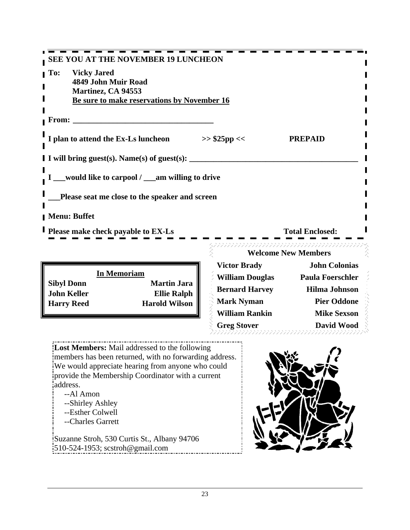|                                                        |                             | -----------                                |  |
|--------------------------------------------------------|-----------------------------|--------------------------------------------|--|
| <b>SEE YOU AT THE NOVEMBER 19 LUNCHEON</b>             |                             |                                            |  |
| <b>To:</b> Vicky Jared                                 |                             |                                            |  |
| 4849 John Muir Road<br>Martinez, CA 94553              |                             |                                            |  |
| Be sure to make reservations by November 16            |                             |                                            |  |
|                                                        |                             |                                            |  |
| <b>From:</b>                                           |                             |                                            |  |
| I plan to attend the Ex-Ls luncheon                    | $>>$ \$25pp <<              | <b>PREPAID</b>                             |  |
|                                                        |                             |                                            |  |
| I I will bring guest(s). Name(s) of guest(s):          |                             |                                            |  |
|                                                        |                             |                                            |  |
| I __would like to carpool / __am willing to drive      |                             |                                            |  |
| Please seat me close to the speaker and screen         |                             |                                            |  |
|                                                        |                             |                                            |  |
| Menu: Buffet                                           |                             |                                            |  |
| <b>I</b> Please make check payable to EX-Ls            |                             | <b>Total Enclosed:</b>                     |  |
|                                                        |                             |                                            |  |
|                                                        |                             | <b>Welcome New Members</b>                 |  |
|                                                        | <b>Victor Brady</b>         | <b>John Colonias</b>                       |  |
| <b>In Memoriam</b><br><b>Sibyl Donn</b><br>Martin Jara | William Douglas             | <b>Paula Foerschler</b>                    |  |
|                                                        | $\sim$ $\sim$ $\sim$ $\sim$ | $\mathbf{r}$ , $\mathbf{r}$ , $\mathbf{r}$ |  |

**Lost Members:** Mail addressed to the following members has been returned, with no forwarding address. We would appreciate hearing from anyone who could provide the Membership Coordinator with a current address.

- 
- 
- --Esther Colwell
- --Charles Garrett

Suzanne Stroh, 530 Curtis St., Albany 94706 510-524-1953; scstroh@gmail.com